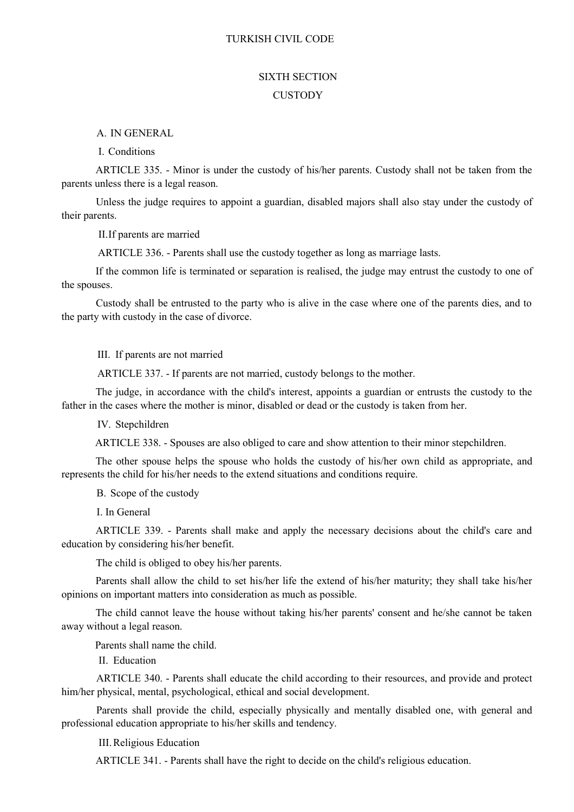#### TURKISH CIVIL CODE

### SIXTH SECTION **CUSTODY**

A. IN GENERAL

I. Conditions

ARTICLE 335. - Minor is under the custody of his/her parents. Custody shall not be taken from the parents unless there is a legal reason.

Unless the judge requires to appoint a guardian, disabled majors shall also stay under the custody of their parents.

II.If parents are married

ARTICLE 336. - Parents shall use the custody together as long as marriage lasts.

If the common life is terminated or separation is realised, the judge may entrust the custody to one of the spouses.

Custody shall be entrusted to the party who is alive in the case where one of the parents dies, and to the party with custody in the case of divorce.

III. If parents are not married

ARTICLE 337. - If parents are not married, custody belongs to the mother.

The judge, in accordance with the child's interest, appoints a guardian or entrusts the custody to the father in the cases where the mother is minor, disabled or dead or the custody is taken from her.

IV. Stepchildren

ARTICLE 338. - Spouses are also obliged to care and show attention to their minor stepchildren.

The other spouse helps the spouse who holds the custody of his/her own child as appropriate, and represents the child for his/her needs to the extend situations and conditions require.

B. Scope of the custody

I. In General

ARTICLE 339. - Parents shall make and apply the necessary decisions about the child's care and education by considering his/her benefit.

The child is obliged to obey his/her parents.

Parents shall allow the child to set his/her life the extend of his/her maturity; they shall take his/her opinions on important matters into consideration as much as possible.

The child cannot leave the house without taking his/her parents' consent and he/she cannot be taken away without a legal reason.

Parents shall name the child.

II. Education

ARTICLE 340. - Parents shall educate the child according to their resources, and provide and protect him/her physical, mental, psychological, ethical and social development.

Parents shall provide the child, especially physically and mentally disabled one, with general and professional education appropriate to his/her skills and tendency.

III.Religious Education

ARTICLE 341. - Parents shall have the right to decide on the child's religious education.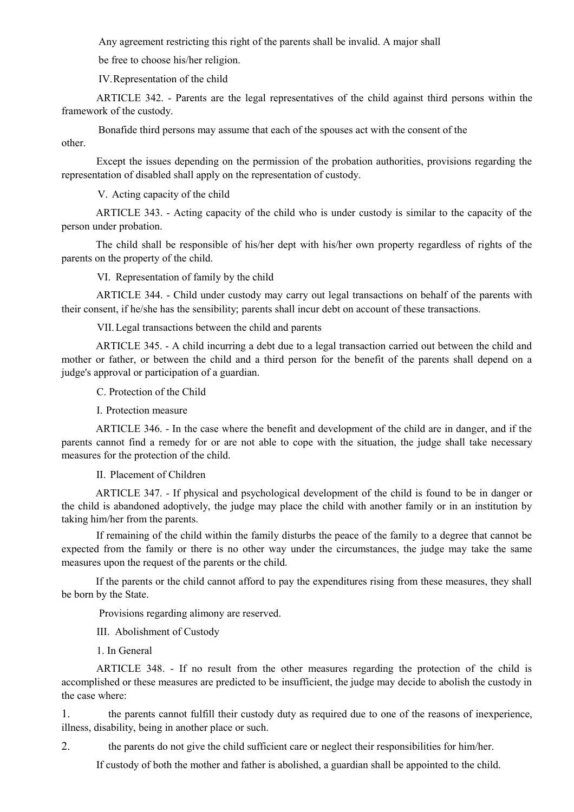Any agreement restricting this right of the parents shall be invalid. A major shall

be free to choose his/her religion.

IV.Representation of the child

ARTICLE 342. - Parents are the legal representatives of the child against third persons within the framework of the custody.

Bonafide third persons may assume that each of the spouses act with the consent of the

other.

Except the issues depending on the permission of the probation authorities, provisions regarding the representation of disabled shall apply on the representation of custody.

V. Acting capacity of the child

ARTICLE 343. - Acting capacity of the child who is under custody is similar to the capacity of the person under probation.

The child shall be responsible of his/her dept with his/her own property regardless of rights of the parents on the property of the child.

VI. Representation of family by the child

ARTICLE 344. - Child under custody may carry out legal transactions on behalf of the parents with their consent, if he/she has the sensibility; parents shall incur debt on account of these transactions.

VII.Legal transactions between the child and parents

ARTICLE 345. - A child incurring a debt due to a legal transaction carried out between the child and mother or father, or between the child and a third person for the benefit of the parents shall depend on a judge's approval or participation of a guardian.

C. Protection of the Child

I. Protection measure

ARTICLE 346. - In the case where the benefit and development of the child are in danger, and if the parents cannot find a remedy for or are not able to cope with the situation, the judge shall take necessary measures for the protection of the child.

II. Placement of Children

ARTICLE 347. - If physical and psychological development of the child is found to be in danger or the child is abandoned adoptively, the judge may place the child with another family or in an institution by taking him/her from the parents.

If remaining of the child within the family disturbs the peace of the family to a degree that cannot be expected from the family or there is no other way under the circumstances, the judge may take the same measures upon the request of the parents or the child.

If the parents or the child cannot afford to pay the expenditures rising from these measures, they shall be born by the State.

Provisions regarding alimony are reserved.

III. Abolishment of Custody

1. In General

ARTICLE 348. - If no result from the other measures regarding the protection of the child is accomplished or these measures are predicted to be insufficient, the judge may decide to abolish the custody in the case where:

1. the parents cannot fulfill their custody duty as required due to one of the reasons of inexperience, illness, disability, being in another place or such.

2. the parents do not give the child sufficient care or neglect their responsibilities for him/her.

If custody of both the mother and father is abolished, a guardian shall be appointed to the child.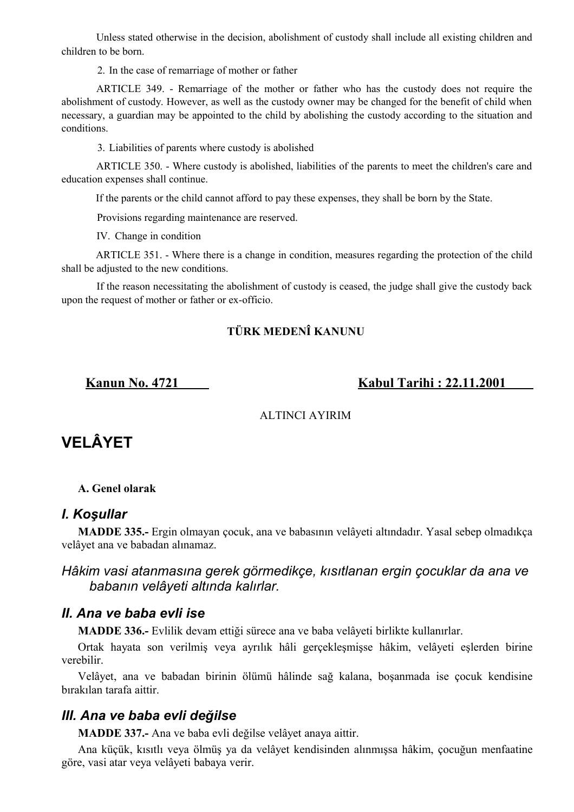Unless stated otherwise in the decision, abolishment of custody shall include all existing children and children to be born.

2. In the case of remarriage of mother or father

ARTICLE 349. - Remarriage of the mother or father who has the custody does not require the abolishment of custody. However, as well as the custody owner may be changed for the benefit of child when necessary, a guardian may be appointed to the child by abolishing the custody according to the situation and conditions.

3. Liabilities of parents where custody is abolished

ARTICLE 350. - Where custody is abolished, liabilities of the parents to meet the children's care and education expenses shall continue.

If the parents or the child cannot afford to pay these expenses, they shall be born by the State.

Provisions regarding maintenance are reserved.

IV. Change in condition

ARTICLE 351. - Where there is a change in condition, measures regarding the protection of the child shall be adjusted to the new conditions.

If the reason necessitating the abolishment of custody is ceased, the judge shall give the custody back upon the request of mother or father or ex-officio.

### **TÜRK MEDENÎ KANUNU**

**Kanun No. 4721 Kabul Tarihi : 22.11.2001** 

### ALTINCI AYIRIM

# **VELÂYET**

### **A. Genel olarak**

### *I. Koşullar*

**MADDE 335.-** Ergin olmayan çocuk, ana ve babasının velâyeti altındadır. Yasal sebep olmadıkça velâyet ana ve babadan alınamaz.

### *Hâkim vasi atanmasına gerek görmedikçe, kısıtlanan ergin çocuklar da ana ve babanın velâyeti altında kalırlar.*

# *II. Ana ve baba evli ise*

**MADDE 336.-** Evlilik devam ettiği sürece ana ve baba velâyeti birlikte kullanırlar.

Ortak hayata son verilmiş veya ayrılık hâli gerçekleşmişse hâkim, velâyeti eşlerden birine verebilir.

Velâyet, ana ve babadan birinin ölümü hâlinde sağ kalana, boşanmada ise çocuk kendisine bırakılan tarafa aittir.

# *III. Ana ve baba evli değilse*

**MADDE 337.-** Ana ve baba evli değilse velâyet anaya aittir.

Ana küçük, kısıtlı veya ölmüş ya da velâyet kendisinden alınmışsa hâkim, çocuğun menfaatine göre, vasi atar veya velâyeti babaya verir.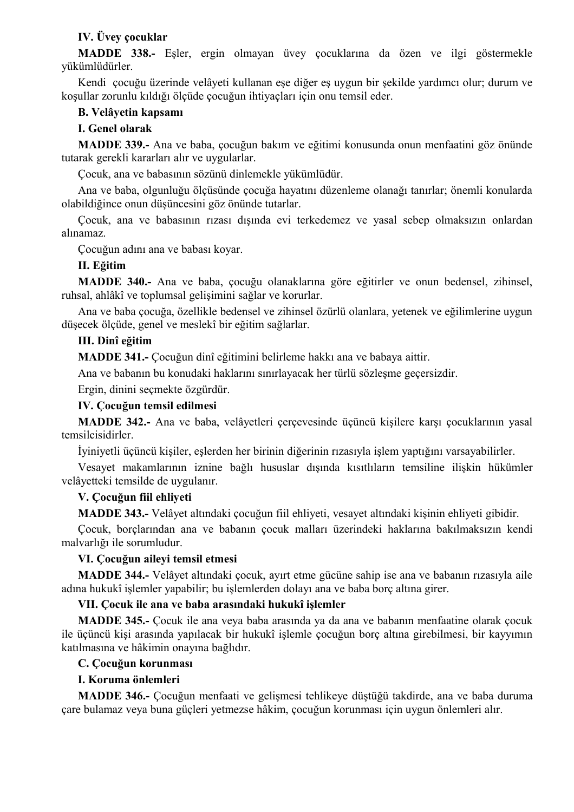### **IV. Üvey çocuklar**

**MADDE 338.-** Eşler, ergin olmayan üvey çocuklarına da özen ve ilgi göstermekle yükümlüdürler.

Kendi çocuğu üzerinde velâyeti kullanan eşe diğer eş uygun bir şekilde yardımcı olur; durum ve koşullar zorunlu kıldığı ölçüde çocuğun ihtiyaçları için onu temsil eder.

#### **B. Velâyetin kapsamı**

#### **I. Genel olarak**

**MADDE 339.-** Ana ve baba, çocuğun bakım ve eğitimi konusunda onun menfaatini göz önünde tutarak gerekli kararları alır ve uygularlar.

Çocuk, ana ve babasının sözünü dinlemekle yükümlüdür.

Ana ve baba, olgunluğu ölçüsünde çocuğa hayatını düzenleme olanağı tanırlar; önemli konularda olabildiğince onun düşüncesini göz önünde tutarlar.

Çocuk, ana ve babasının rızası dışında evi terkedemez ve yasal sebep olmaksızın onlardan alınamaz.

Çocuğun adını ana ve babası koyar.

#### **II. Eğitim**

**MADDE 340.-** Ana ve baba, çocuğu olanaklarına göre eğitirler ve onun bedensel, zihinsel, ruhsal, ahlâkî ve toplumsal gelişimini sağlar ve korurlar.

Ana ve baba çocuğa, özellikle bedensel ve zihinsel özürlü olanlara, yetenek ve eğilimlerine uygun düşecek ölçüde, genel ve meslekî bir eğitim sağlarlar.

#### **III. Dinî eğitim**

**MADDE 341.-** Çocuğun dinî eğitimini belirleme hakkı ana ve babaya aittir.

Ana ve babanın bu konudaki haklarını sınırlayacak her türlü sözleşme geçersizdir.

Ergin, dinini seçmekte özgürdür.

#### **IV. Çocuğun temsil edilmesi**

**MADDE 342.-** Ana ve baba, velâyetleri çerçevesinde üçüncü kişilere karşı çocuklarının yasal temsilcisidirler.

İyiniyetli üçüncü kişiler, eşlerden her birinin diğerinin rızasıyla işlem yaptığını varsayabilirler.

Vesayet makamlarının iznine bağlı hususlar dışında kısıtlıların temsiline ilişkin hükümler velâyetteki temsilde de uygulanır.

#### **V. Çocuğun fiil ehliyeti**

**MADDE 343.-** Velâyet altındaki çocuğun fiil ehliyeti, vesayet altındaki kişinin ehliyeti gibidir.

Çocuk, borçlarından ana ve babanın çocuk malları üzerindeki haklarına bakılmaksızın kendi malvarlığı ile sorumludur.

#### **VI. Çocuğun aileyi temsil etmesi**

**MADDE 344.-** Velâyet altındaki çocuk, ayırt etme gücüne sahip ise ana ve babanın rızasıyla aile adına hukukî işlemler yapabilir; bu işlemlerden dolayı ana ve baba borç altına girer.

#### **VII. Çocuk ile ana ve baba arasındaki hukukî işlemler**

**MADDE 345.-** Çocuk ile ana veya baba arasında ya da ana ve babanın menfaatine olarak çocuk ile üçüncü kişi arasında yapılacak bir hukukî işlemle çocuğun borç altına girebilmesi, bir kayyımın katılmasına ve hâkimin onayına bağlıdır.

#### **C. Çocuğun korunması**

#### **I. Koruma önlemleri**

**MADDE 346.-** Çocuğun menfaati ve gelişmesi tehlikeye düştüğü takdirde, ana ve baba duruma çare bulamaz veya buna güçleri yetmezse hâkim, çocuğun korunması için uygun önlemleri alır.